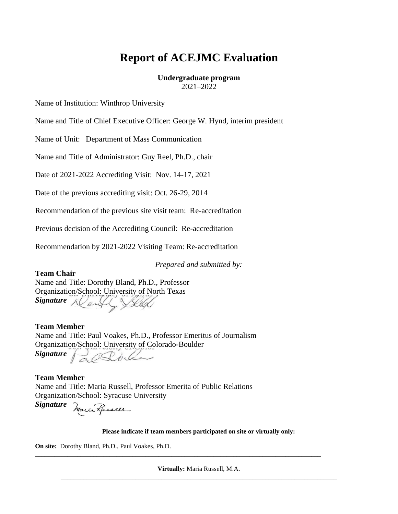# **Report of ACEJMC Evaluation**

#### **Undergraduate program** 2021–2022

Name of Institution: Winthrop University

Name and Title of Chief Executive Officer: George W. Hynd, interim president

Name of Unit:Department of Mass Communication

Name and Title of Administrator: Guy Reel, Ph.D., chair

Date of 2021-2022 Accrediting Visit: Nov. 14-17, 2021

Date of the previous accrediting visit: Oct. 26-29, 2014

Recommendation of the previous site visit team: Re-accreditation

Previous decision of the Accrediting Council: Re-accreditation

Recommendation by 2021-2022 Visiting Team: Re-accreditation

*Prepared and submitted by:*

**Team Chair** Name and Title: Dorothy Bland, Ph.D., Professor Organization/School: University of North Texas Signature *Al* and

**Team Member** Name and Title: Paul Voakes, Ph.D., Professor Emeritus of Journalism Organization/School: University of Colorado-Boulder *Signature* 20 Dollar

**Team Member** Name and Title: Maria Russell, Professor Emerita of Public Relations Organization/School: Syracuse University

*Signature*

**Please indicate if team members participated on site or virtually only:**

**On site:** Dorothy Bland, Ph.D., Paul Voakes, Ph.D.

**Virtually:** Maria Russell, M.A. \_\_\_\_\_\_\_\_\_\_\_\_\_\_\_\_\_\_\_\_\_\_\_\_\_\_\_\_\_\_\_\_\_\_\_\_\_\_\_\_\_\_\_\_\_\_\_\_\_\_\_\_\_\_\_\_\_\_\_\_\_\_\_\_\_\_\_\_\_\_\_\_\_\_\_\_\_\_\_\_\_\_\_\_\_

**\_\_\_\_\_\_\_\_\_\_\_\_\_\_\_\_\_\_\_\_\_\_\_\_\_\_\_\_\_\_\_\_\_\_\_\_\_\_\_\_\_\_\_\_\_\_\_\_\_\_\_\_\_\_\_\_\_\_\_\_\_\_\_\_\_\_\_\_\_\_\_\_\_\_\_\_\_\_\_\_\_\_\_\_\_\_\_\_**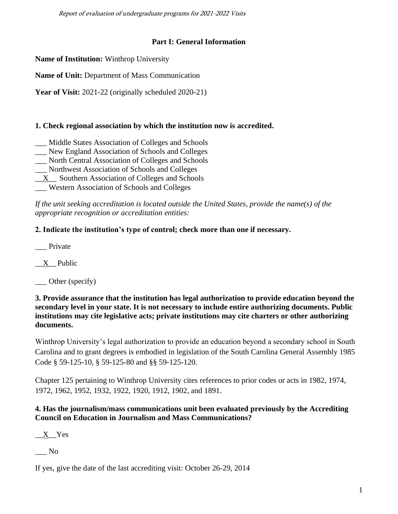Report of evaluation of undergraduate programs for 2021-2022 Visits

# **Part I: General Information**

**Name of Institution:** Winthrop University

**Name of Unit:** Department of Mass Communication

Year of Visit: 2021-22 (originally scheduled 2020-21)

# **1. Check regional association by which the institution now is accredited.**

- \_\_\_ Middle States Association of Colleges and Schools
- \_\_\_ New England Association of Schools and Colleges
- \_\_\_ North Central Association of Colleges and Schools
- \_\_\_ Northwest Association of Schools and Colleges
- $\underline{X}$  Southern Association of Colleges and Schools
- \_\_\_ Western Association of Schools and Colleges

*If the unit seeking accreditation is located outside the United States, provide the name(s) of the appropriate recognition or accreditation entities:*

# **2. Indicate the institution's type of control; check more than one if necessary.**

\_\_\_ Private

 $X$  Public

\_\_\_ Other (specify)

**3. Provide assurance that the institution has legal authorization to provide education beyond the secondary level in your state. It is not necessary to include entire authorizing documents. Public institutions may cite legislative acts; private institutions may cite charters or other authorizing documents.**

Winthrop University's legal authorization to provide an education beyond a secondary school in South Carolina and to grant degrees is embodied in legislation of the South Carolina General Assembly 1985 Code § 59-125-10, § 59-125-80 and §§ 59-125-120.

Chapter 125 pertaining to Winthrop University cites references to prior codes or acts in 1982, 1974, 1972, 1962, 1952, 1932, 1922, 1920, 1912, 1902, and 1891.

# **4. Has the journalism/mass communications unit been evaluated previously by the Accrediting Council on Education in Journalism and Mass Communications?**

\_\_X\_\_Yes

 $\overline{\phantom{a}}$  No

If yes, give the date of the last accrediting visit: October 26-29, 2014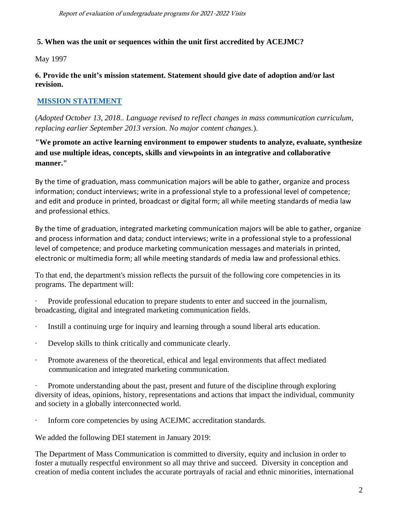# **5. When was the unit or sequences within the unit first accredited by ACEJMC?**

May 1997

**6. Provide the unit's mission statement. Statement should give date of adoption and/or last revision.**

# **[MISSION STATEMENT](https://www.winthrop.edu/cas/masscomm/mission-and-core-competencies.aspx)**

(*Adopted October 13, 2018.. Language revised to reflect changes in mass communication curriculum, replacing earlier September 2013 version. No major content changes.*).

**"We promote an active learning environment to empower students to analyze, evaluate, synthesize and use multiple ideas, concepts, skills and viewpoints in an integrative and collaborative manner."**

By the time of graduation, mass communication majors will be able to gather, organize and process information; conduct interviews; write in a professional style to a professional level of competence; and edit and produce in printed, broadcast or digital form; all while meeting standards of media law and professional ethics.

By the time of graduation, integrated marketing communication majors will be able to gather, organize and process information and data; conduct interviews; write in a professional style to a professional level of competence; and produce marketing communication messages and materials in printed, electronic or multimedia form; all while meeting standards of media law and professional ethics.

To that end, the department's mission reflects the pursuit of the following core competencies in its programs. The department will:

· Provide professional education to prepare students to enter and succeed in the journalism, broadcasting, digital and integrated marketing communication fields.

- · Instill a continuing urge for inquiry and learning through a sound liberal arts education.
- · Develop skills to think critically and communicate clearly.
- · Promote awareness of the theoretical, ethical and legal environments that affect mediated communication and integrated marketing communication.

· Promote understanding about the past, present and future of the discipline through exploring diversity of ideas, opinions, history, representations and actions that impact the individual, community and society in a globally interconnected world.

· Inform core competencies by using ACEJMC accreditation standards.

We added the following DEI statement in January 2019:

The Department of Mass Communication is committed to diversity, equity and inclusion in order to foster a mutually respectful environment so all may thrive and succeed. Diversity in conception and creation of media content includes the accurate portrayals of racial and ethnic minorities, international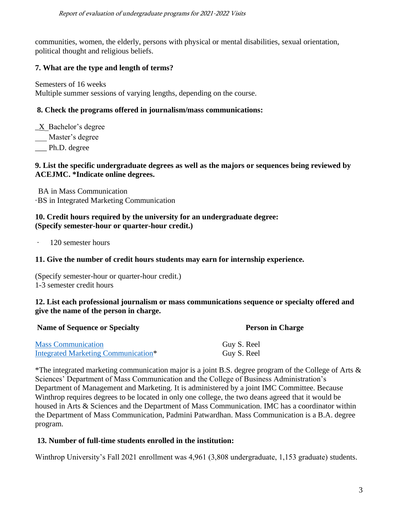communities, women, the elderly, persons with physical or mental disabilities, sexual orientation, political thought and religious beliefs.

# **7. What are the type and length of terms?**

Semesters of 16 weeks Multiple summer sessions of varying lengths, depending on the course.

#### **8. Check the programs offered in journalism/mass communications:**

 $X$  Bachelor's degree

Master's degree

Ph.D. degree

#### **9. List the specific undergraduate degrees as well as the majors or sequences being reviewed by ACEJMC. \*Indicate online degrees.**

BA in Mass Communication ·BS in Integrated Marketing Communication

#### **10. Credit hours required by the university for an undergraduate degree: (Specify semester-hour or quarter-hour credit.)**

· 120 semester hours

## **11. Give the number of credit hours students may earn for internship experience.**

(Specify semester-hour or quarter-hour credit.) 1-3 semester credit hours

#### **12. List each professional journalism or mass communications sequence or specialty offered and give the name of the person in charge.**

| <b>Name of Sequence or Specialty</b>       | <b>Person in Charge</b> |
|--------------------------------------------|-------------------------|
| <b>Mass Communication</b>                  | Guy S. Reel             |
| <b>Integrated Marketing Communication*</b> | Guy S. Reel             |

\*The integrated marketing communication major is a joint B.S. degree program of the College of Arts & Sciences' Department of Mass Communication and the College of Business Administration's Department of Management and Marketing. It is administered by a joint IMC Committee. Because Winthrop requires degrees to be located in only one college, the two deans agreed that it would be housed in Arts & Sciences and the Department of Mass Communication. IMC has a coordinator within the Department of Mass Communication, Padmini Patwardhan. Mass Communication is a B.A. degree program.

## **13. Number of full-time students enrolled in the institution:**

Winthrop University's Fall 2021 enrollment was 4,961 (3,808 undergraduate, 1,153 graduate) students.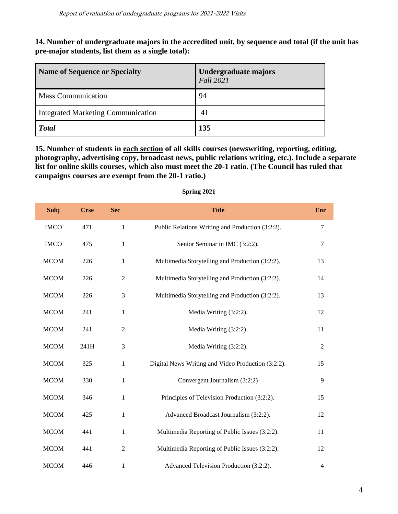**14. Number of undergraduate majors in the accredited unit, by sequence and total (if the unit has pre-major students, list them as a single total):**

| <b>Name of Sequence or Specialty</b>      | Undergraduate majors<br><b>Fall 2021</b> |
|-------------------------------------------|------------------------------------------|
| <b>Mass Communication</b>                 | 94                                       |
| <b>Integrated Marketing Communication</b> | 41                                       |
| <b>Total</b>                              | 135                                      |

**15. Number of students in each section of all skills courses (newswriting, reporting, editing, photography, advertising copy, broadcast news, public relations writing, etc.). Include a separate list for online skills courses, which also must meet the 20-1 ratio. (The Council has ruled that campaigns courses are exempt from the 20-1 ratio.)**

| Subj        | <b>Crse</b> | <b>Sec</b>     | <b>Title</b>                                       | Enr            |
|-------------|-------------|----------------|----------------------------------------------------|----------------|
| <b>IMCO</b> | 471         | 1              | Public Relations Writing and Production (3:2:2).   | $\tau$         |
| <b>IMCO</b> | 475         | 1              | Senior Seminar in IMC (3:2:2).                     | $\overline{7}$ |
| <b>MCOM</b> | 226         | $\mathbf{1}$   | Multimedia Storytelling and Production (3:2:2).    | 13             |
| <b>MCOM</b> | 226         | $\overline{2}$ | Multimedia Storytelling and Production (3:2:2).    | 14             |
| <b>MCOM</b> | 226         | 3              | Multimedia Storytelling and Production (3:2:2).    | 13             |
| <b>MCOM</b> | 241         | $\mathbf{1}$   | Media Writing (3:2:2).                             | 12             |
| <b>MCOM</b> | 241         | $\overline{2}$ | Media Writing (3:2:2).                             | 11             |
| <b>MCOM</b> | 241H        | 3              | Media Writing (3:2:2).                             | $\overline{2}$ |
| <b>MCOM</b> | 325         | 1              | Digital News Writing and Video Production (3:2:2). | 15             |
| <b>MCOM</b> | 330         | $\mathbf{1}$   | Convergent Journalism (3:2:2)                      | 9              |
| <b>MCOM</b> | 346         | $\mathbf{1}$   | Principles of Television Production (3:2:2).       | 15             |
| <b>MCOM</b> | 425         | $\mathbf{1}$   | Advanced Broadcast Journalism (3:2:2).             | 12             |
| <b>MCOM</b> | 441         | $\mathbf{1}$   | Multimedia Reporting of Public Issues (3:2:2).     | 11             |
| <b>MCOM</b> | 441         | $\mathfrak{2}$ | Multimedia Reporting of Public Issues (3:2:2).     | 12             |
| <b>MCOM</b> | 446         | $\mathbf{1}$   | Advanced Television Production (3:2:2).            | 4              |

**Spring 2021**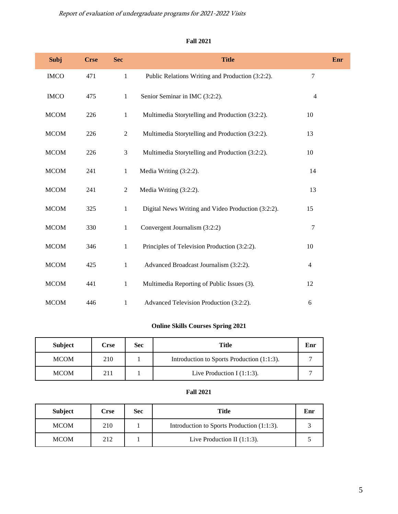Report of evaluation of undergraduate programs for 2021-2022 Visits

#### **Fall 2021**

| Subj        | <b>Crse</b> | <b>Sec</b>     | <b>Title</b>                                       |                | Enr |
|-------------|-------------|----------------|----------------------------------------------------|----------------|-----|
| <b>IMCO</b> | 471         | $\mathbf{1}$   | Public Relations Writing and Production (3:2:2).   | 7              |     |
| <b>IMCO</b> | 475         | $\mathbf{1}$   | Senior Seminar in IMC (3:2:2).                     | $\overline{4}$ |     |
| <b>MCOM</b> | 226         | $\mathbf{1}$   | Multimedia Storytelling and Production (3:2:2).    | 10             |     |
| <b>MCOM</b> | 226         | $\overline{2}$ | Multimedia Storytelling and Production (3:2:2).    | 13             |     |
| <b>MCOM</b> | 226         | 3              | Multimedia Storytelling and Production (3:2:2).    | 10             |     |
| <b>MCOM</b> | 241         | $\mathbf{1}$   | Media Writing (3:2:2).                             | 14             |     |
| <b>MCOM</b> | 241         | $\overline{2}$ | Media Writing (3:2:2).                             | 13             |     |
| <b>MCOM</b> | 325         | $\mathbf{1}$   | Digital News Writing and Video Production (3:2:2). | 15             |     |
| <b>MCOM</b> | 330         | $\mathbf{1}$   | Convergent Journalism (3:2:2)                      | 7              |     |
| <b>MCOM</b> | 346         | $\mathbf{1}$   | Principles of Television Production (3:2:2).       | 10             |     |
| <b>MCOM</b> | 425         | $\mathbf{1}$   | Advanced Broadcast Journalism (3:2:2).             | $\overline{4}$ |     |
| <b>MCOM</b> | 441         | $\mathbf{1}$   | Multimedia Reporting of Public Issues (3).         | 12             |     |
| <b>MCOM</b> | 446         | 1              | Advanced Television Production (3:2:2).            | 6              |     |

# **Online Skills Courses Spring 2021**

| <b>Subject</b> | Crse | <b>Sec</b> | Title                                      |  |
|----------------|------|------------|--------------------------------------------|--|
| <b>MCOM</b>    | 210  |            | Introduction to Sports Production (1:1:3). |  |
| <b>MCOM</b>    | 211  |            | Live Production I $(1:1:3)$ .              |  |

#### **Fall 2021**

| <b>Subject</b> | <b>Crse</b> | <b>Sec</b> | Title                                      | Enr |
|----------------|-------------|------------|--------------------------------------------|-----|
| <b>MCOM</b>    | 210         |            | Introduction to Sports Production (1:1:3). |     |
| <b>MCOM</b>    | 212         |            | Live Production II $(1:1:3)$ .             |     |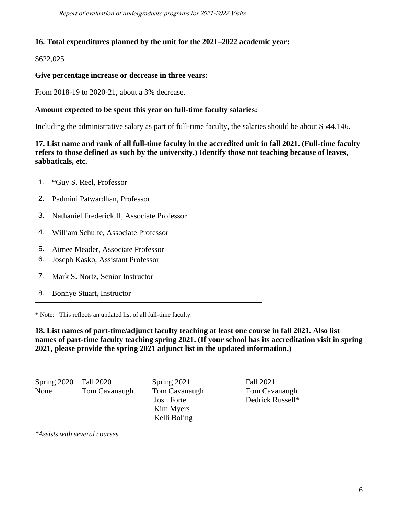Report of evaluation of undergraduate programs for 2021-2022 Visits

#### **16. Total expenditures planned by the unit for the 2021–2022 academic year:**

\$622,025

#### **Give percentage increase or decrease in three years:**

From 2018-19 to 2020-21, about a 3% decrease.

#### **Amount expected to be spent this year on full-time faculty salaries:**

Including the administrative salary as part of full-time faculty, the salaries should be about \$544,146.

**17. List name and rank of all full-time faculty in the accredited unit in fall 2021. (Full-time faculty refers to those defined as such by the university.) Identify those not teaching because of leaves, sabbaticals, etc.**

- 1. \*Guy S. Reel, Professor
- 2. Padmini Patwardhan, Professor
- 3. Nathaniel Frederick II, Associate Professor
- 4. William Schulte, Associate Professor
- 5. Aimee Meader, Associate Professor
- 6. Joseph Kasko, Assistant Professor
- 7. Mark S. Nortz, Senior Instructor
- 8. Bonnye Stuart, Instructor

\* Note: This reflects an updated list of all full-time faculty.

**18. List names of part-time/adjunct faculty teaching at least one course in fall 2021. Also list names of part-time faculty teaching spring 2021. (If your school has its accreditation visit in spring 2021, please provide the spring 2021 adjunct list in the updated information.)**

Spring 2020 Fall 2020 Spring 2021 Fall 2021 None Tom Cavanaugh Tom Cavanaugh Tom Cavanaugh

 Kim Myers Kelli Boling

Josh Forte Dedrick Russell\*

*\*Assists with several courses.*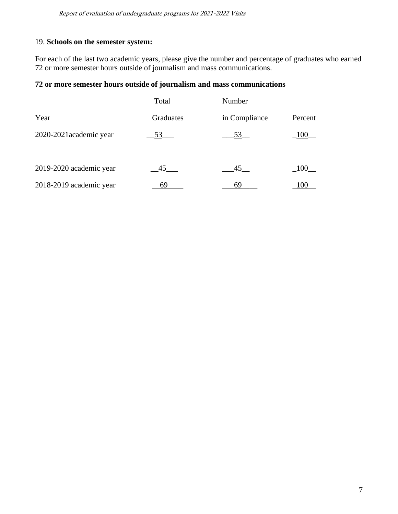# 19. **Schools on the semester system:**

For each of the last two academic years, please give the number and percentage of graduates who earned 72 or more semester hours outside of journalism and mass communications.

## **72 or more semester hours outside of journalism and mass communications**

|                         | Total     | Number        |         |
|-------------------------|-----------|---------------|---------|
| Year                    | Graduates | in Compliance | Percent |
| 2020-2021 academic year | 53        | 53            | 100     |
| 2019-2020 academic year | 45        | 45            | 100     |
| 2018-2019 academic year | 69        | 69            | 100     |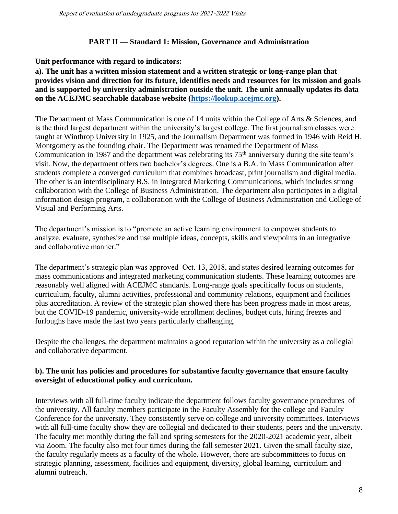#### **PART II — Standard 1: Mission, Governance and Administration**

#### **Unit performance with regard to indicators:**

**a). The unit has a written mission statement and a written strategic or long-range plan that provides vision and direction for its future, identifies needs and resources for its mission and goals and is supported by university administration outside the unit. The unit annually updates its data on the ACEJMC searchable database website [\(https://lookup.acejmc.org\)](https://lookup.acejmc.org/).**

The Department of Mass Communication is one of 14 units within the College of Arts & Sciences, and is the third largest department within the university's largest college. The first journalism classes were taught at Winthrop University in 1925, and the Journalism Department was formed in 1946 with Reid H. Montgomery as the founding chair. The Department was renamed the Department of Mass Communication in 1987 and the department was celebrating its 75<sup>th</sup> anniversary during the site team's visit. Now, the department offers two bachelor's degrees. One is a B.A. in Mass Communication after students complete a converged curriculum that combines broadcast, print journalism and digital media. The other is an interdisciplinary B.S. in Integrated Marketing Communications, which includes strong collaboration with the College of Business Administration. The department also participates in a digital information design program, a collaboration with the College of Business Administration and College of Visual and Performing Arts.

The department's mission is to "promote an active learning environment to empower students to analyze, evaluate, synthesize and use multiple ideas, concepts, skills and viewpoints in an integrative and collaborative manner."

The department's strategic plan was approved Oct. 13, 2018, and states desired learning outcomes for mass communications and integrated marketing communication students. These learning outcomes are reasonably well aligned with ACEJMC standards. Long-range goals specifically focus on students, curriculum, faculty, alumni activities, professional and community relations, equipment and facilities plus accreditation. A review of the strategic plan showed there has been progress made in most areas, but the COVID-19 pandemic, university-wide enrollment declines, budget cuts, hiring freezes and furloughs have made the last two years particularly challenging.

Despite the challenges, the department maintains a good reputation within the university as a collegial and collaborative department.

## **b). The unit has policies and procedures for substantive faculty governance that ensure faculty oversight of educational policy and curriculum.**

Interviews with all full-time faculty indicate the department follows faculty governance procedures of the university. All faculty members participate in the Faculty Assembly for the college and Faculty Conference for the university. They consistently serve on college and university committees. Interviews with all full-time faculty show they are collegial and dedicated to their students, peers and the university. The faculty met monthly during the fall and spring semesters for the 2020-2021 academic year, albeit via Zoom. The faculty also met four times during the fall semester 2021. Given the small faculty size, the faculty regularly meets as a faculty of the whole. However, there are subcommittees to focus on strategic planning, assessment, facilities and equipment, diversity, global learning, curriculum and alumni outreach.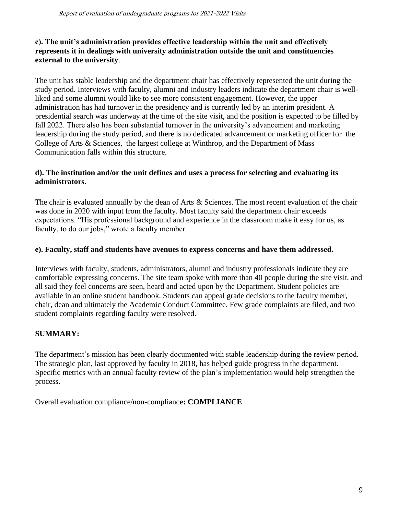# **c). The unit's administration provides effective leadership within the unit and effectively represents it in dealings with university administration outside the unit and constituencies external to the university**.

The unit has stable leadership and the department chair has effectively represented the unit during the study period. Interviews with faculty, alumni and industry leaders indicate the department chair is wellliked and some alumni would like to see more consistent engagement. However, the upper administration has had turnover in the presidency and is currently led by an interim president. A presidential search was underway at the time of the site visit, and the position is expected to be filled by fall 2022. There also has been substantial turnover in the university's advancement and marketing leadership during the study period, and there is no dedicated advancement or marketing officer for the College of Arts & Sciences, the largest college at Winthrop, and the Department of Mass Communication falls within this structure.

# **d). The institution and/or the unit defines and uses a process for selecting and evaluating its administrators.**

The chair is evaluated annually by the dean of Arts & Sciences. The most recent evaluation of the chair was done in 2020 with input from the faculty. Most faculty said the department chair exceeds expectations. "His professional background and experience in the classroom make it easy for us, as faculty, to do our jobs," wrote a faculty member.

#### **e). Faculty, staff and students have avenues to express concerns and have them addressed.**

Interviews with faculty, students, administrators, alumni and industry professionals indicate they are comfortable expressing concerns. The site team spoke with more than 40 people during the site visit, and all said they feel concerns are seen, heard and acted upon by the Department. Student policies are available in an online student handbook. Students can appeal grade decisions to the faculty member, chair, dean and ultimately the Academic Conduct Committee. Few grade complaints are filed, and two student complaints regarding faculty were resolved.

## **SUMMARY:**

The department's mission has been clearly documented with stable leadership during the review period. The strategic plan, last approved by faculty in 2018, has helped guide progress in the department. Specific metrics with an annual faculty review of the plan's implementation would help strengthen the process.

Overall evaluation compliance/non-compliance**: COMPLIANCE**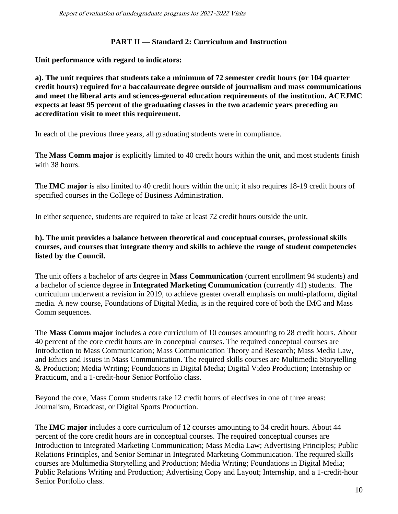#### **PART II — Standard 2: Curriculum and Instruction**

**Unit performance with regard to indicators:**

**a). The unit requires that students take a minimum of 72 semester credit hours (or 104 quarter credit hours) required for a baccalaureate degree outside of journalism and mass communications and meet the liberal arts and sciences-general education requirements of the institution. ACEJMC expects at least 95 percent of the graduating classes in the two academic years preceding an accreditation visit to meet this requirement.**

In each of the previous three years, all graduating students were in compliance.

The **Mass Comm major** is explicitly limited to 40 credit hours within the unit, and most students finish with 38 hours.

The **IMC major** is also limited to 40 credit hours within the unit; it also requires 18-19 credit hours of specified courses in the College of Business Administration.

In either sequence, students are required to take at least 72 credit hours outside the unit.

## **b). The unit provides a balance between theoretical and conceptual courses, professional skills courses, and courses that integrate theory and skills to achieve the range of student competencies listed by the Council.**

The unit offers a bachelor of arts degree in **Mass Communication** (current enrollment 94 students) and a bachelor of science degree in **Integrated Marketing Communication** (currently 41) students. The curriculum underwent a revision in 2019, to achieve greater overall emphasis on multi-platform, digital media. A new course, Foundations of Digital Media, is in the required core of both the IMC and Mass Comm sequences.

The **Mass Comm major** includes a core curriculum of 10 courses amounting to 28 credit hours. About 40 percent of the core credit hours are in conceptual courses. The required conceptual courses are Introduction to Mass Communication; Mass Communication Theory and Research; Mass Media Law, and Ethics and Issues in Mass Communication. The required skills courses are Multimedia Storytelling & Production; Media Writing; Foundations in Digital Media; Digital Video Production; Internship or Practicum, and a 1-credit-hour Senior Portfolio class.

Beyond the core, Mass Comm students take 12 credit hours of electives in one of three areas: Journalism, Broadcast, or Digital Sports Production.

The **IMC major** includes a core curriculum of 12 courses amounting to 34 credit hours. About 44 percent of the core credit hours are in conceptual courses. The required conceptual courses are Introduction to Integrated Marketing Communication; Mass Media Law; Advertising Principles; Public Relations Principles, and Senior Seminar in Integrated Marketing Communication. The required skills courses are Multimedia Storytelling and Production; Media Writing; Foundations in Digital Media; Public Relations Writing and Production; Advertising Copy and Layout; Internship, and a 1-credit-hour Senior Portfolio class.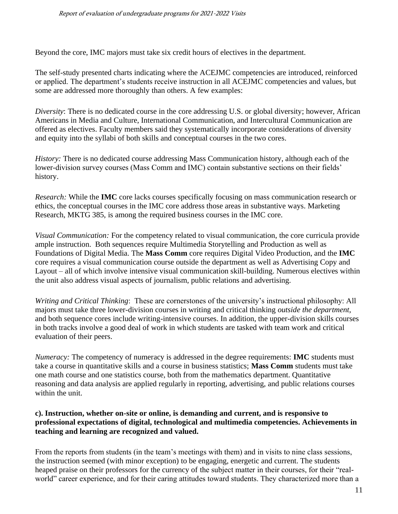Beyond the core, IMC majors must take six credit hours of electives in the department.

The self-study presented charts indicating where the ACEJMC competencies are introduced, reinforced or applied. The department's students receive instruction in all ACEJMC competencies and values, but some are addressed more thoroughly than others. A few examples:

*Diversity*: There is no dedicated course in the core addressing U.S. or global diversity; however, African Americans in Media and Culture, International Communication, and Intercultural Communication are offered as electives. Faculty members said they systematically incorporate considerations of diversity and equity into the syllabi of both skills and conceptual courses in the two cores.

*History:* There is no dedicated course addressing Mass Communication history, although each of the lower-division survey courses (Mass Comm and IMC) contain substantive sections on their fields' history.

*Research:* While the **IMC** core lacks courses specifically focusing on mass communication research or ethics, the conceptual courses in the IMC core address those areas in substantive ways. Marketing Research, MKTG 385, is among the required business courses in the IMC core.

*Visual Communication:* For the competency related to visual communication, the core curricula provide ample instruction. Both sequences require Multimedia Storytelling and Production as well as Foundations of Digital Media. The **Mass Comm** core requires Digital Video Production, and the **IMC** core requires a visual communication course outside the department as well as Advertising Copy and Layout – all of which involve intensive visual communication skill-building. Numerous electives within the unit also address visual aspects of journalism, public relations and advertising.

*Writing and Critical Thinking*: These are cornerstones of the university's instructional philosophy: All majors must take three lower-division courses in writing and critical thinking *outside the department*, and both sequence cores include writing-intensive courses. In addition, the upper-division skills courses in both tracks involve a good deal of work in which students are tasked with team work and critical evaluation of their peers.

*Numeracy:* The competency of numeracy is addressed in the degree requirements: **IMC** students must take a course in quantitative skills and a course in business statistics; **Mass Comm** students must take one math course and one statistics course, both from the mathematics department. Quantitative reasoning and data analysis are applied regularly in reporting, advertising, and public relations courses within the unit.

#### **c). Instruction, whether on-site or online, is demanding and current, and is responsive to professional expectations of digital, technological and multimedia competencies. Achievements in teaching and learning are recognized and valued.**

From the reports from students (in the team's meetings with them) and in visits to nine class sessions, the instruction seemed (with minor exception) to be engaging, energetic and current. The students heaped praise on their professors for the currency of the subject matter in their courses, for their "realworld" career experience, and for their caring attitudes toward students. They characterized more than a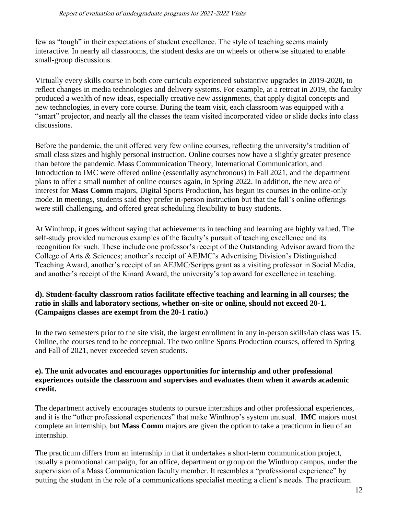few as "tough" in their expectations of student excellence. The style of teaching seems mainly interactive. In nearly all classrooms, the student desks are on wheels or otherwise situated to enable small-group discussions.

Virtually every skills course in both core curricula experienced substantive upgrades in 2019-2020, to reflect changes in media technologies and delivery systems. For example, at a retreat in 2019, the faculty produced a wealth of new ideas, especially creative new assignments, that apply digital concepts and new technologies, in every core course. During the team visit, each classroom was equipped with a "smart" projector, and nearly all the classes the team visited incorporated video or slide decks into class discussions.

Before the pandemic, the unit offered very few online courses, reflecting the university's tradition of small class sizes and highly personal instruction. Online courses now have a slightly greater presence than before the pandemic. Mass Communication Theory, International Communication, and Introduction to IMC were offered online (essentially asynchronous) in Fall 2021, and the department plans to offer a small number of online courses again, in Spring 2022. In addition, the new area of interest for **Mass Comm** majors, Digital Sports Production, has begun its courses in the online-only mode. In meetings, students said they prefer in-person instruction but that the fall's online offerings were still challenging, and offered great scheduling flexibility to busy students.

At Winthrop, it goes without saying that achievements in teaching and learning are highly valued. The self-study provided numerous examples of the faculty's pursuit of teaching excellence and its recognition for such. These include one professor's receipt of the Outstanding Advisor award from the College of Arts & Sciences; another's receipt of AEJMC's Advertising Division's Distinguished Teaching Award, another's receipt of an AEJMC/Scripps grant as a visiting professor in Social Media, and another's receipt of the Kinard Award, the university's top award for excellence in teaching.

# **d). Student-faculty classroom ratios facilitate effective teaching and learning in all courses; the ratio in skills and laboratory sections, whether on-site or online, should not exceed 20-1. (Campaigns classes are exempt from the 20-1 ratio.)**

In the two semesters prior to the site visit, the largest enrollment in any in-person skills/lab class was 15. Online, the courses tend to be conceptual. The two online Sports Production courses, offered in Spring and Fall of 2021, never exceeded seven students.

#### **e). The unit advocates and encourages opportunities for internship and other professional experiences outside the classroom and supervises and evaluates them when it awards academic credit.**

The department actively encourages students to pursue internships and other professional experiences, and it is the "other professional experiences" that make Winthrop's system unusual. **IMC** majors must complete an internship, but **Mass Comm** majors are given the option to take a practicum in lieu of an internship.

The practicum differs from an internship in that it undertakes a short-term communication project, usually a promotional campaign, for an office, department or group on the Winthrop campus, under the supervision of a Mass Communication faculty member. It resembles a "professional experience" by putting the student in the role of a communications specialist meeting a client's needs. The practicum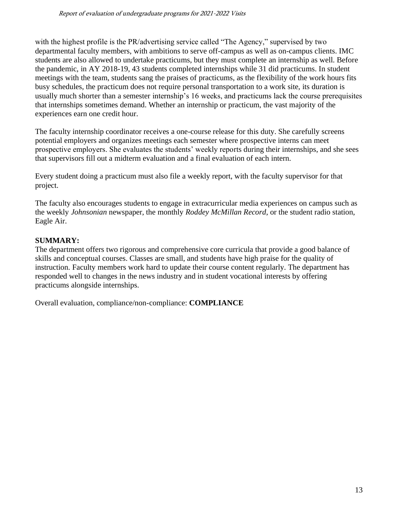with the highest profile is the PR/advertising service called "The Agency," supervised by two departmental faculty members, with ambitions to serve off-campus as well as on-campus clients. IMC students are also allowed to undertake practicums, but they must complete an internship as well. Before the pandemic, in AY 2018-19, 43 students completed internships while 31 did practicums. In student meetings with the team, students sang the praises of practicums, as the flexibility of the work hours fits busy schedules, the practicum does not require personal transportation to a work site, its duration is usually much shorter than a semester internship's 16 weeks, and practicums lack the course prerequisites that internships sometimes demand. Whether an internship or practicum, the vast majority of the experiences earn one credit hour.

The faculty internship coordinator receives a one-course release for this duty. She carefully screens potential employers and organizes meetings each semester where prospective interns can meet prospective employers. She evaluates the students' weekly reports during their internships, and she sees that supervisors fill out a midterm evaluation and a final evaluation of each intern.

Every student doing a practicum must also file a weekly report, with the faculty supervisor for that project.

The faculty also encourages students to engage in extracurricular media experiences on campus such as the weekly *Johnsonian* newspaper, the monthly *Roddey McMillan Record*, or the student radio station, Eagle Air.

## **SUMMARY:**

The department offers two rigorous and comprehensive core curricula that provide a good balance of skills and conceptual courses. Classes are small, and students have high praise for the quality of instruction. Faculty members work hard to update their course content regularly. The department has responded well to changes in the news industry and in student vocational interests by offering practicums alongside internships.

Overall evaluation, compliance/non-compliance: **COMPLIANCE**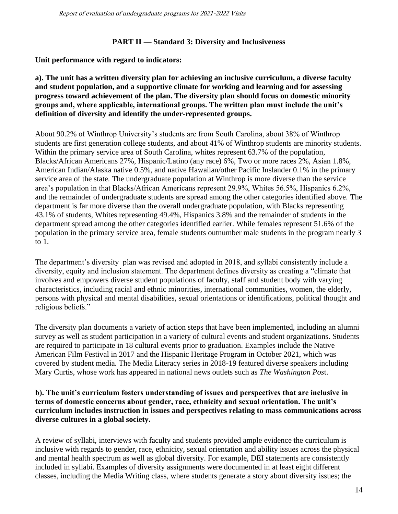#### **PART II — Standard 3: Diversity and Inclusiveness**

**Unit performance with regard to indicators:**

**a). The unit has a written diversity plan for achieving an inclusive curriculum, a diverse faculty and student population, and a supportive climate for working and learning and for assessing progress toward achievement of the plan. The diversity plan should focus on domestic minority groups and, where applicable, international groups. The written plan must include the unit's definition of diversity and identify the under-represented groups.**

About 90.2% of Winthrop University's students are from South Carolina, about 38% of Winthrop students are first generation college students, and about 41% of Winthrop students are minority students. Within the primary service area of South Carolina, whites represent 63.7% of the population, Blacks/African Americans 27%, Hispanic/Latino (any race) 6%, Two or more races 2%, Asian 1.8%, American Indian/Alaska native 0.5%, and native Hawaiian/other Pacific Inslander 0.1% in the primary service area of the state. The undergraduate population at Winthrop is more diverse than the service area's population in that Blacks/African Americans represent 29.9%, Whites 56.5%, Hispanics 6.2%, and the remainder of undergraduate students are spread among the other categories identified above. The department is far more diverse than the overall undergraduate population, with Blacks representing 43.1% of students, Whites representing 49.4%, Hispanics 3.8% and the remainder of students in the department spread among the other categories identified earlier. While females represent 51.6% of the population in the primary service area, female students outnumber male students in the program nearly 3 to 1.

The department's diversity plan was revised and adopted in 2018, and syllabi consistently include a diversity, equity and inclusion statement. The department defines diversity as creating a "climate that involves and empowers diverse student populations of faculty, staff and student body with varying characteristics, including racial and ethnic minorities, international communities, women, the elderly, persons with physical and mental disabilities, sexual orientations or identifications, political thought and religious beliefs."

The diversity plan documents a variety of action steps that have been implemented, including an alumni survey as well as student participation in a variety of cultural events and student organizations. Students are required to participate in 18 cultural events prior to graduation. Examples include the Native American Film Festival in 2017 and the Hispanic Heritage Program in October 2021, which was covered by student media. The Media Literacy series in 2018-19 featured diverse speakers including Mary Curtis, whose work has appeared in national news outlets such as *The Washington Pos*t.

#### **b). The unit's curriculum fosters understanding of issues and perspectives that are inclusive in terms of domestic concerns about gender, race, ethnicity and sexual orientation. The unit's curriculum includes instruction in issues and perspectives relating to mass communications across diverse cultures in a global society.**

A review of syllabi, interviews with faculty and students provided ample evidence the curriculum is inclusive with regards to gender, race, ethnicity, sexual orientation and ability issues across the physical and mental health spectrum as well as global diversity. For example, DEI statements are consistently included in syllabi. Examples of diversity assignments were documented in at least eight different classes, including the Media Writing class, where students generate a story about diversity issues; the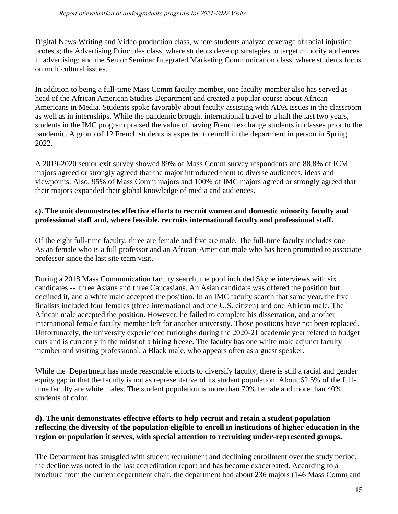Digital News Writing and Video production class, where students analyze coverage of racial injustice protests; the Advertising Principles class, where students develop strategies to target minority audiences in advertising; and the Senior Seminar Integrated Marketing Communication class, where students focus on multicultural issues.

In addition to being a full-time Mass Comm faculty member, one faculty member also has served as head of the African American Studies Department and created a popular course about African Americans in Media. Students spoke favorably about faculty assisting with ADA issues in the classroom as well as in internships. While the pandemic brought international travel to a halt the last two years, students in the IMC program praised the value of having French exchange students in classes prior to the pandemic. A group of 12 French students is expected to enroll in the department in person in Spring 2022.

A 2019-2020 senior exit survey showed 89% of Mass Comm survey respondents and 88.8% of ICM majors agreed or strongly agreed that the major introduced them to diverse audiences, ideas and viewpoints. Also, 95% of Mass Comm majors and 100% of IMC majors agreed or strongly agreed that their majors expanded their global knowledge of media and audiences.

# **c). The unit demonstrates effective efforts to recruit women and domestic minority faculty and professional staff and, where feasible, recruits international faculty and professional staff.**

Of the eight full-time faculty, three are female and five are male. The full-time faculty includes one Asian female who is a full professor and an African-American male who has been promoted to associate professor since the last site team visit.

During a 2018 Mass Communication faculty search, the pool included Skype interviews with six candidates -- three Asians and three Caucasians. An Asian candidate was offered the position but declined it, and a white male accepted the position. In an IMC faculty search that same year, the five finalists included four females (three international and one U.S. citizen) and one African male. The African male accepted the position. However, he failed to complete his dissertation, and another international female faculty member left for another university. Those positions have not been replaced. Unfortunately, the university experienced furloughs during the 2020-21 academic year related to budget cuts and is currently in the midst of a hiring freeze. The faculty has one white male adjunct faculty member and visiting professional, a Black male, who appears often as a guest speaker.

While the Department has made reasonable efforts to diversify faculty, there is still a racial and gender equity gap in that the faculty is not as representative of its student population. About 62.5% of the fulltime faculty are white males. The student population is more than 70% female and more than 40% students of color.

.

## **d). The unit demonstrates effective efforts to help recruit and retain a student population reflecting the diversity of the population eligible to enroll in institutions of higher education in the region or population it serves, with special attention to recruiting under-represented groups.**

The Department has struggled with student recruitment and declining enrollment over the study period; the decline was noted in the last accreditation report and has become exacerbated. According to a brochure from the current department chair, the department had about 236 majors (146 Mass Comm and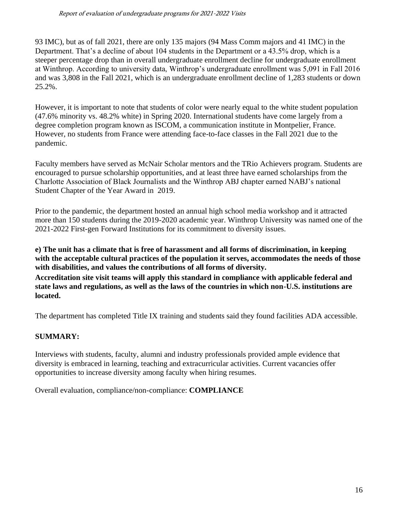93 IMC), but as of fall 2021, there are only 135 majors (94 Mass Comm majors and 41 IMC) in the Department. That's a decline of about 104 students in the Department or a 43.5% drop, which is a steeper percentage drop than in overall undergraduate enrollment decline for undergraduate enrollment at Winthrop. According to university data, Winthrop's undergraduate enrollment was 5,091 in Fall 2016 and was 3,808 in the Fall 2021, which is an undergraduate enrollment decline of 1,283 students or down 25.2%.

However, it is important to note that students of color were nearly equal to the white student population (47.6% minority vs. 48.2% white) in Spring 2020. International students have come largely from a degree completion program known as ISCOM, a communication institute in Montpelier, France. However, no students from France were attending face-to-face classes in the Fall 2021 due to the pandemic.

Faculty members have served as McNair Scholar mentors and the TRio Achievers program. Students are encouraged to pursue scholarship opportunities, and at least three have earned scholarships from the Charlotte Association of Black Journalists and the Winthrop ABJ chapter earned NABJ's national Student Chapter of the Year Award in 2019.

Prior to the pandemic, the department hosted an annual high school media workshop and it attracted more than 150 students during the 2019-2020 academic year. Winthrop University was named one of the 2021-2022 First-gen Forward Institutions for its commitment to diversity issues.

**e) The unit has a climate that is free of harassment and all forms of discrimination, in keeping with the acceptable cultural practices of the population it serves, accommodates the needs of those with disabilities, and values the contributions of all forms of diversity. Accreditation site visit teams will apply this standard in compliance with applicable federal and state laws and regulations, as well as the laws of the countries in which non-U.S. institutions are** 

The department has completed Title IX training and students said they found facilities ADA accessible.

# **SUMMARY:**

**located.**

Interviews with students, faculty, alumni and industry professionals provided ample evidence that diversity is embraced in learning, teaching and extracurricular activities. Current vacancies offer opportunities to increase diversity among faculty when hiring resumes.

Overall evaluation, compliance/non-compliance: **COMPLIANCE**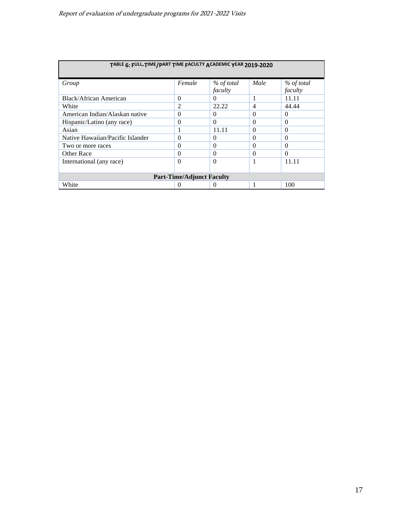| TABLE 6: FULL-TIME/PART TIME FACULTY ACADEMIC YEAR 2019-2020 |                |                       |                |                       |  |
|--------------------------------------------------------------|----------------|-----------------------|----------------|-----------------------|--|
| Group                                                        | Female         | % of total<br>faculty | Male           | % of total<br>faculty |  |
| Black/African American                                       | $\Omega$       | $\theta$              |                | 11.11                 |  |
| White                                                        | $\mathfrak{D}$ | 22.22                 | $\overline{4}$ | 44.44                 |  |
| American Indian/Alaskan native                               | $\Omega$       | $\theta$              | $\Omega$       | $\Omega$              |  |
| Hispanic/Latino (any race)                                   | $\Omega$       | $\Omega$              | $\Omega$       | $\Omega$              |  |
| Asian                                                        |                | 11.11                 | $\Omega$       | $\Omega$              |  |
| Native Hawaiian/Pacific Islander                             | $\Omega$       | $\Omega$              | $\Omega$       | $\Omega$              |  |
| Two or more races                                            | $\Omega$       | $\Omega$              | $\Omega$       | $\Omega$              |  |
| Other Race                                                   | $\Omega$       | $\Omega$              | $\Omega$       | $\Omega$              |  |
| International (any race)                                     | $\Omega$       | $\Omega$              |                | 11.11                 |  |
| <b>Part-Time/Adjunct Faculty</b>                             |                |                       |                |                       |  |
| 100<br>White<br>O                                            |                |                       |                |                       |  |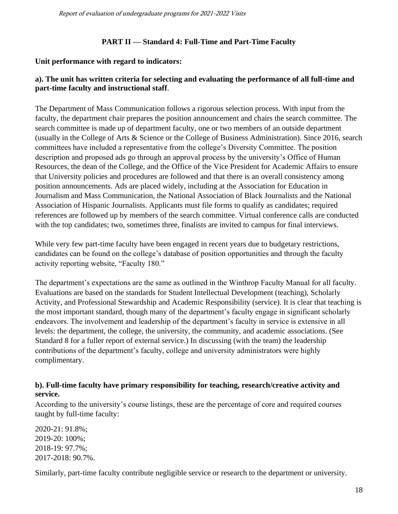#### **PART II — Standard 4: Full-Time and Part-Time Faculty**

#### **Unit performance with regard to indicators:**

## **a). The unit has written criteria for selecting and evaluating the performance of all full-time and part-time faculty and instructional staff**.

The Department of Mass Communication follows a rigorous selection process. With input from the faculty, the department chair prepares the position announcement and chairs the search committee. The search committee is made up of department faculty, one or two members of an outside department (usually in the College of Arts & Science or the College of Business Administration). Since 2016, search committees have included a representative from the college's Diversity Committee. The position description and proposed ads go through an approval process by the university's Office of Human Resources, the dean of the College, and the Office of the Vice President for Academic Affairs to ensure that University policies and procedures are followed and that there is an overall consistency among position announcements. Ads are placed widely, including at the Association for Education in Journalism and Mass Communication, the National Association of Black Journalists and the National Association of Hispanic Journalists. Applicants must file forms to qualify as candidates; required references are followed up by members of the search committee. Virtual conference calls are conducted with the top candidates; two, sometimes three, finalists are invited to campus for final interviews.

While very few part-time faculty have been engaged in recent years due to budgetary restrictions, candidates can be found on the college's database of position opportunities and through the faculty activity reporting website, "Faculty 180."

The department's expectations are the same as outlined in the Winthrop Faculty Manual for all faculty. Evaluations are based on the standards for Student Intellectual Development (teaching), Scholarly Activity, and Professional Stewardship and Academic Responsibility (service). It is clear that teaching is the most important standard, though many of the department's faculty engage in significant scholarly endeavors. The involvement and leadership of the department's faculty in service is extensive in all levels: the department, the college, the university, the community, and academic associations. (See Standard 8 for a fuller report of external service.) In discussing (with the team) the leadership contributions of the department's faculty, college and university administrators were highly complimentary.

## **b). Full-time faculty have primary responsibility for teaching, research/creative activity and service.**

According to the university's course listings, these are the percentage of core and required courses taught by full-time faculty:

2020-21: 91.8%; 2019-20: 100%; 2018-19: 97.7%; 2017-2018: 90.7%.

Similarly, part-time faculty contribute negligible service or research to the department or university.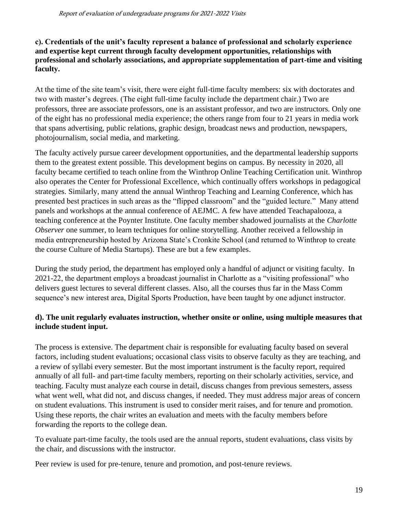# **c). Credentials of the unit's faculty represent a balance of professional and scholarly experience and expertise kept current through faculty development opportunities, relationships with professional and scholarly associations, and appropriate supplementation of part-time and visiting faculty.**

At the time of the site team's visit, there were eight full-time faculty members: six with doctorates and two with master's degrees. (The eight full-time faculty include the department chair.) Two are professors, three are associate professors, one is an assistant professor, and two are instructors. Only one of the eight has no professional media experience; the others range from four to 21 years in media work that spans advertising, public relations, graphic design, broadcast news and production, newspapers, photojournalism, social media, and marketing.

The faculty actively pursue career development opportunities, and the departmental leadership supports them to the greatest extent possible. This development begins on campus. By necessity in 2020, all faculty became certified to teach online from the Winthrop Online Teaching Certification unit. Winthrop also operates the Center for Professional Excellence, which continually offers workshops in pedagogical strategies. Similarly, many attend the annual Winthrop Teaching and Learning Conference, which has presented best practices in such areas as the "flipped classroom" and the "guided lecture." Many attend panels and workshops at the annual conference of AEJMC. A few have attended Teachapalooza, a teaching conference at the Poynter Institute. One faculty member shadowed journalists at the *Charlotte Observer* one summer, to learn techniques for online storytelling. Another received a fellowship in media entrepreneurship hosted by Arizona State's Cronkite School (and returned to Winthrop to create the course Culture of Media Startups). These are but a few examples.

During the study period, the department has employed only a handful of adjunct or visiting faculty. In 2021-22, the department employs a broadcast journalist in Charlotte as a "visiting professional" who delivers guest lectures to several different classes. Also, all the courses thus far in the Mass Comm sequence's new interest area, Digital Sports Production, have been taught by one adjunct instructor.

# **d). The unit regularly evaluates instruction, whether onsite or online, using multiple measures that include student input.**

The process is extensive. The department chair is responsible for evaluating faculty based on several factors, including student evaluations; occasional class visits to observe faculty as they are teaching, and a review of syllabi every semester. But the most important instrument is the faculty report, required annually of all full- and part-time faculty members, reporting on their scholarly activities, service, and teaching. Faculty must analyze each course in detail, discuss changes from previous semesters, assess what went well, what did not, and discuss changes, if needed. They must address major areas of concern on student evaluations. This instrument is used to consider merit raises, and for tenure and promotion. Using these reports, the chair writes an evaluation and meets with the faculty members before forwarding the reports to the college dean.

To evaluate part-time faculty, the tools used are the annual reports, student evaluations, class visits by the chair, and discussions with the instructor.

Peer review is used for pre-tenure, tenure and promotion, and post-tenure reviews.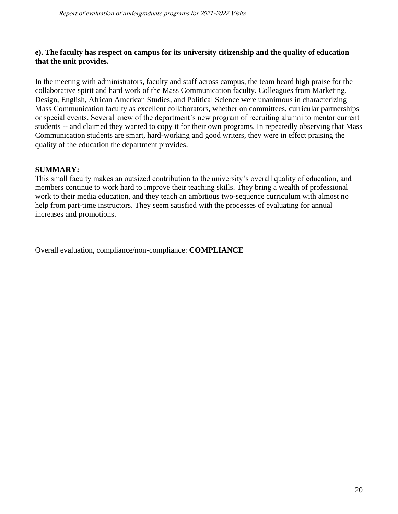#### **e). The faculty has respect on campus for its university citizenship and the quality of education that the unit provides.**

In the meeting with administrators, faculty and staff across campus, the team heard high praise for the collaborative spirit and hard work of the Mass Communication faculty. Colleagues from Marketing, Design, English, African American Studies, and Political Science were unanimous in characterizing Mass Communication faculty as excellent collaborators, whether on committees, curricular partnerships or special events. Several knew of the department's new program of recruiting alumni to mentor current students -- and claimed they wanted to copy it for their own programs. In repeatedly observing that Mass Communication students are smart, hard-working and good writers, they were in effect praising the quality of the education the department provides.

## **SUMMARY:**

This small faculty makes an outsized contribution to the university's overall quality of education, and members continue to work hard to improve their teaching skills. They bring a wealth of professional work to their media education, and they teach an ambitious two-sequence curriculum with almost no help from part-time instructors. They seem satisfied with the processes of evaluating for annual increases and promotions.

Overall evaluation, compliance/non-compliance: **COMPLIANCE**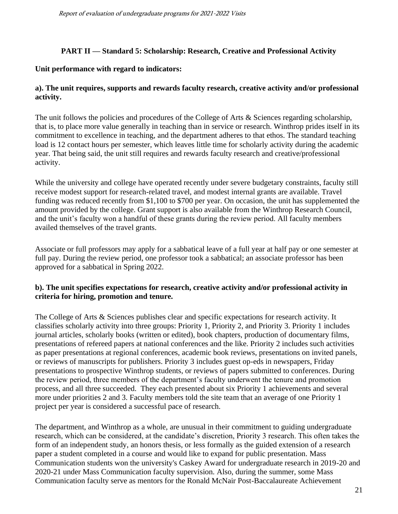# **PART II — Standard 5: Scholarship: Research, Creative and Professional Activity**

## **Unit performance with regard to indicators:**

# **a). The unit requires, supports and rewards faculty research, creative activity and/or professional activity.**

The unit follows the policies and procedures of the College of Arts & Sciences regarding scholarship, that is, to place more value generally in teaching than in service or research. Winthrop prides itself in its commitment to excellence in teaching, and the department adheres to that ethos. The standard teaching load is 12 contact hours per semester, which leaves little time for scholarly activity during the academic year. That being said, the unit still requires and rewards faculty research and creative/professional activity.

While the university and college have operated recently under severe budgetary constraints, faculty still receive modest support for research-related travel, and modest internal grants are available. Travel funding was reduced recently from \$1,100 to \$700 per year. On occasion, the unit has supplemented the amount provided by the college. Grant support is also available from the Winthrop Research Council, and the unit's faculty won a handful of these grants during the review period. All faculty members availed themselves of the travel grants.

Associate or full professors may apply for a sabbatical leave of a full year at half pay or one semester at full pay. During the review period, one professor took a sabbatical; an associate professor has been approved for a sabbatical in Spring 2022.

## **b). The unit specifies expectations for research, creative activity and/or professional activity in criteria for hiring, promotion and tenure.**

The College of Arts & Sciences publishes clear and specific expectations for research activity. It classifies scholarly activity into three groups: Priority 1, Priority 2, and Priority 3. Priority 1 includes journal articles, scholarly books (written or edited), book chapters, production of documentary films, presentations of refereed papers at national conferences and the like. Priority 2 includes such activities as paper presentations at regional conferences, academic book reviews, presentations on invited panels, or reviews of manuscripts for publishers. Priority 3 includes guest op-eds in newspapers, Friday presentations to prospective Winthrop students, or reviews of papers submitted to conferences. During the review period, three members of the department's faculty underwent the tenure and promotion process, and all three succeeded. They each presented about six Priority 1 achievements and several more under priorities 2 and 3. Faculty members told the site team that an average of one Priority 1 project per year is considered a successful pace of research.

The department, and Winthrop as a whole, are unusual in their commitment to guiding undergraduate research, which can be considered, at the candidate's discretion, Priority 3 research. This often takes the form of an independent study, an honors thesis, or less formally as the guided extension of a research paper a student completed in a course and would like to expand for public presentation. Mass Communication students won the university's Caskey Award for undergraduate research in 2019-20 and 2020-21 under Mass Communication faculty supervision. Also, during the summer, some Mass Communication faculty serve as mentors for the Ronald McNair Post-Baccalaureate Achievement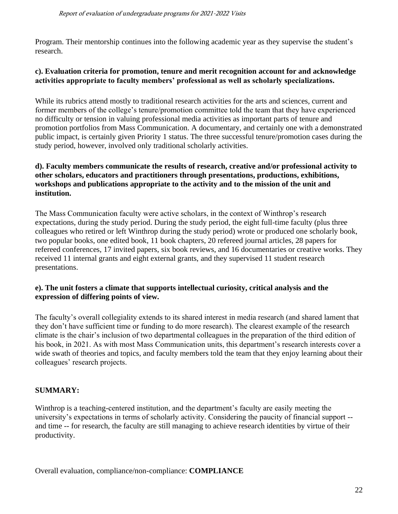Program. Their mentorship continues into the following academic year as they supervise the student's research.

## **c). Evaluation criteria for promotion, tenure and merit recognition account for and acknowledge activities appropriate to faculty members' professional as well as scholarly specializations.**

While its rubrics attend mostly to traditional research activities for the arts and sciences, current and former members of the college's tenure/promotion committee told the team that they have experienced no difficulty or tension in valuing professional media activities as important parts of tenure and promotion portfolios from Mass Communication. A documentary, and certainly one with a demonstrated public impact, is certainly given Priority 1 status. The three successful tenure/promotion cases during the study period, however, involved only traditional scholarly activities.

## **d). Faculty members communicate the results of research, creative and/or professional activity to other scholars, educators and practitioners through presentations, productions, exhibitions, workshops and publications appropriate to the activity and to the mission of the unit and institution.**

The Mass Communication faculty were active scholars, in the context of Winthrop's research expectations, during the study period. During the study period, the eight full-time faculty (plus three colleagues who retired or left Winthrop during the study period) wrote or produced one scholarly book, two popular books, one edited book, 11 book chapters, 20 refereed journal articles, 28 papers for refereed conferences, 17 invited papers, six book reviews, and 16 documentaries or creative works. They received 11 internal grants and eight external grants, and they supervised 11 student research presentations.

#### **e). The unit fosters a climate that supports intellectual curiosity, critical analysis and the expression of differing points of view.**

The faculty's overall collegiality extends to its shared interest in media research (and shared lament that they don't have sufficient time or funding to do more research). The clearest example of the research climate is the chair's inclusion of two departmental colleagues in the preparation of the third edition of his book, in 2021. As with most Mass Communication units, this department's research interests cover a wide swath of theories and topics, and faculty members told the team that they enjoy learning about their colleagues' research projects.

# **SUMMARY:**

Winthrop is a teaching-centered institution, and the department's faculty are easily meeting the university's expectations in terms of scholarly activity. Considering the paucity of financial support - and time -- for research, the faculty are still managing to achieve research identities by virtue of their productivity.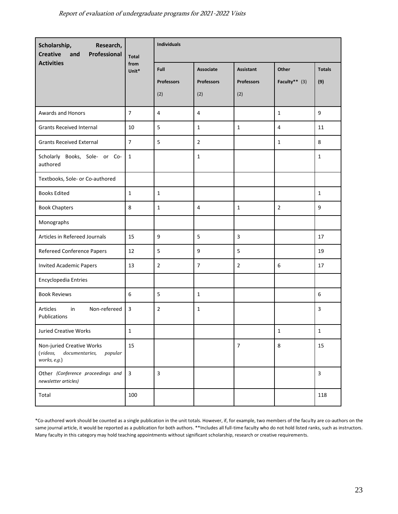| Scholarship,<br>Research,<br><b>Creative</b><br>Professional<br>and                | <b>Total</b>   | Individuals                      |                                              |                                              |                          |                      |
|------------------------------------------------------------------------------------|----------------|----------------------------------|----------------------------------------------|----------------------------------------------|--------------------------|----------------------|
| <b>Activities</b>                                                                  | from<br>Unit*  | Full<br><b>Professors</b><br>(2) | <b>Associate</b><br><b>Professors</b><br>(2) | <b>Assistant</b><br><b>Professors</b><br>(2) | Other<br>Faculty** $(3)$ | <b>Totals</b><br>(9) |
| Awards and Honors                                                                  | $\overline{7}$ | 4                                | 4                                            |                                              | $\mathbf{1}$             | 9                    |
| <b>Grants Received Internal</b>                                                    | 10             | 5                                | $\mathbf{1}$                                 | $\mathbf{1}$                                 | 4                        | 11                   |
| <b>Grants Received External</b>                                                    | $\overline{7}$ | 5                                | $\overline{2}$                               |                                              | $\mathbf{1}$             | 8                    |
| Scholarly Books, Sole- or Co-<br>authored                                          | $\mathbf{1}$   |                                  | $\mathbf{1}$                                 |                                              |                          | $\mathbf{1}$         |
| Textbooks, Sole- or Co-authored                                                    |                |                                  |                                              |                                              |                          |                      |
| <b>Books Edited</b>                                                                | $\mathbf 1$    | $\mathbf{1}$                     |                                              |                                              |                          | $\mathbf{1}$         |
| <b>Book Chapters</b>                                                               | 8              | $\mathbf{1}$                     | 4                                            | $\mathbf{1}$                                 | 2                        | 9                    |
| Monographs                                                                         |                |                                  |                                              |                                              |                          |                      |
| Articles in Refereed Journals                                                      | 15             | 9                                | 5                                            | $\overline{3}$                               |                          | 17                   |
| Refereed Conference Papers                                                         | 12             | 5                                | 9                                            | 5                                            |                          | 19                   |
| <b>Invited Academic Papers</b>                                                     | 13             | $\overline{2}$                   | $\overline{7}$                               | $\overline{2}$                               | 6                        | 17                   |
| Encyclopedia Entries                                                               |                |                                  |                                              |                                              |                          |                      |
| <b>Book Reviews</b>                                                                | 6              | 5                                | $\mathbf{1}$                                 |                                              |                          | 6                    |
| Non-refereed<br><b>Articles</b><br>in<br>Publications                              | 3              | $\overline{2}$                   | $\mathbf{1}$                                 |                                              |                          | 3                    |
| Juried Creative Works                                                              | $\mathbf 1$    |                                  |                                              |                                              | $\mathbf{1}$             | $\mathbf{1}$         |
| Non-juried Creative Works<br>(videos,<br>documentaries,<br>popular<br>works, e.g.) | 15             |                                  |                                              | $\overline{7}$                               | $\,8\,$                  | 15                   |
| Other (Conference proceedings and<br>newsletter articles)                          | 3              | $\overline{3}$                   |                                              |                                              |                          | $\overline{3}$       |
| Total                                                                              | 100            |                                  |                                              |                                              |                          | 118                  |

\*Co-authored work should be counted as a single publication in the unit totals. However, if, for example, two members of the faculty are co-authors on the same journal article, it would be reported as a publication for both authors. \*\*Includes all full-time faculty who do not hold listed ranks, such as instructors. Many faculty in this category may hold teaching appointments without significant scholarship, research or creative requirements.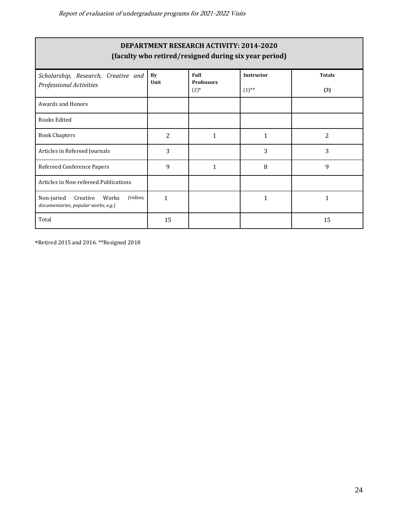| <b>DEPARTMENT RESEARCH ACTIVITY: 2014-2020</b><br>(faculty who retired/resigned during six year period) |            |                                      |                               |                      |  |  |
|---------------------------------------------------------------------------------------------------------|------------|--------------------------------------|-------------------------------|----------------------|--|--|
| Scholarship, Research, Creative and<br><b>Professional Activities</b>                                   | By<br>Unit | Full<br><b>Professors</b><br>$(2)$ * | <b>Instructor</b><br>$(1)$ ** | <b>Totals</b><br>(3) |  |  |
| <b>Awards and Honors</b>                                                                                |            |                                      |                               |                      |  |  |
| <b>Books Edited</b>                                                                                     |            |                                      |                               |                      |  |  |
| <b>Book Chapters</b>                                                                                    | 2          | 1                                    | $\mathbf{1}$                  | 2                    |  |  |
| Articles in Refereed Journals                                                                           | 3          |                                      | 3                             | 3                    |  |  |
| Refereed Conference Papers                                                                              | 9          | 1                                    | 8                             | 9                    |  |  |
| Articles in Non-refereed Publications                                                                   |            |                                      |                               |                      |  |  |
| (videos,<br>Non-juried<br>Creative<br>Works<br>documentaries, popular works, e.g.)                      | 1          |                                      | 1                             | $\mathbf{1}$         |  |  |
| Total                                                                                                   | 15         |                                      |                               | 15                   |  |  |

\*Retired 2015 and 2016. \*\*Resigned 2018

Г

 $\overline{\phantom{a}}$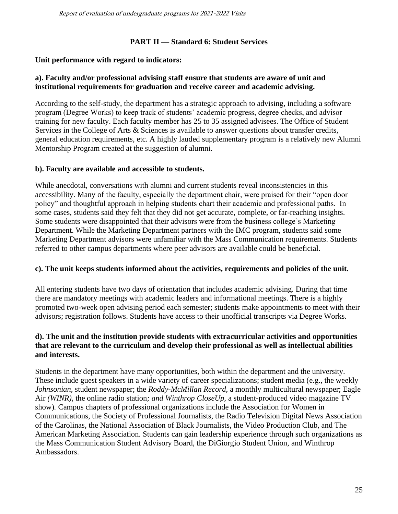# **PART II — Standard 6: Student Services**

# **Unit performance with regard to indicators:**

## **a). Faculty and/or professional advising staff ensure that students are aware of unit and institutional requirements for graduation and receive career and academic advising.**

According to the self-study, the department has a strategic approach to advising, including a software program (Degree Works) to keep track of students' academic progress, degree checks, and advisor training for new faculty. Each faculty member has 25 to 35 assigned advisees. The Office of Student Services in the College of Arts & Sciences is available to answer questions about transfer credits, general education requirements, etc. A highly lauded supplementary program is a relatively new Alumni Mentorship Program created at the suggestion of alumni.

## **b). Faculty are available and accessible to students.**

While anecdotal, conversations with alumni and current students reveal inconsistencies in this accessibility. Many of the faculty, especially the department chair, were praised for their "open door policy" and thoughtful approach in helping students chart their academic and professional paths. In some cases, students said they felt that they did not get accurate, complete, or far-reaching insights. Some students were disappointed that their advisors were from the business college's Marketing Department. While the Marketing Department partners with the IMC program, students said some Marketing Department advisors were unfamiliar with the Mass Communication requirements. Students referred to other campus departments where peer advisors are available could be beneficial.

## **c). The unit keeps students informed about the activities, requirements and policies of the unit.**

All entering students have two days of orientation that includes academic advising. During that time there are mandatory meetings with academic leaders and informational meetings. There is a highly promoted two-week open advising period each semester; students make appointments to meet with their advisors; registration follows. Students have access to their unofficial transcripts via Degree Works.

## **d). The unit and the institution provide students with extracurricular activities and opportunities that are relevant to the curriculum and develop their professional as well as intellectual abilities and interests.**

Students in the department have many opportunities, both within the department and the university. These include guest speakers in a wide variety of career specializations; student media (e.g., the weekly *Johnsonian,* student newspaper; the *Roddy-McMillan Record,* a monthly multicultural newspaper; Eagle Air *(WINR),* the online radio station*; and Winthrop CloseUp,* a student-produced video magazine TV show)*.* Campus chapters of professional organizations include the Association for Women in Communications, the Society of Professional Journalists, the Radio Television Digital News Association of the Carolinas, the National Association of Black Journalists, the Video Production Club, and The American Marketing Association. Students can gain leadership experience through such organizations as the Mass Communication Student Advisory Board, the DiGiorgio Student Union, and Winthrop Ambassadors.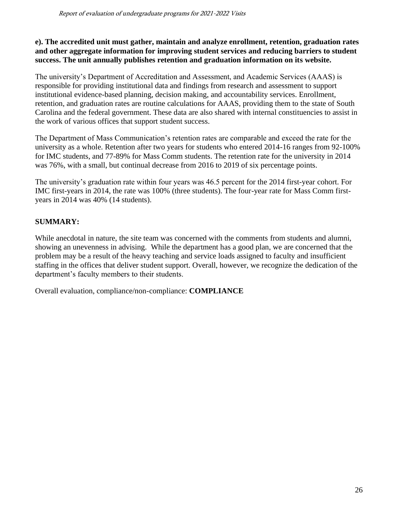## **e). The accredited unit must gather, maintain and analyze enrollment, retention, graduation rates and other aggregate information for improving student services and reducing barriers to student success. The unit annually publishes retention and graduation information on its website.**

The university's Department of Accreditation and Assessment, and Academic Services (AAAS) is responsible for providing institutional data and findings from research and assessment to support institutional evidence-based planning, decision making, and accountability services. Enrollment, retention, and graduation rates are routine calculations for AAAS, providing them to the state of South Carolina and the federal government. These data are also shared with internal constituencies to assist in the work of various offices that support student success.

The Department of Mass Communication's retention rates are comparable and exceed the rate for the university as a whole. Retention after two years for students who entered 2014-16 ranges from 92-100% for IMC students, and 77-89% for Mass Comm students. The retention rate for the university in 2014 was 76%, with a small, but continual decrease from 2016 to 2019 of six percentage points.

The university's graduation rate within four years was 46.5 percent for the 2014 first-year cohort. For IMC first-years in 2014, the rate was 100% (three students). The four-year rate for Mass Comm firstyears in 2014 was 40% (14 students).

# **SUMMARY:**

While anecdotal in nature, the site team was concerned with the comments from students and alumni, showing an unevenness in advising. While the department has a good plan, we are concerned that the problem may be a result of the heavy teaching and service loads assigned to faculty and insufficient staffing in the offices that deliver student support. Overall, however, we recognize the dedication of the department's faculty members to their students.

Overall evaluation, compliance/non-compliance: **COMPLIANCE**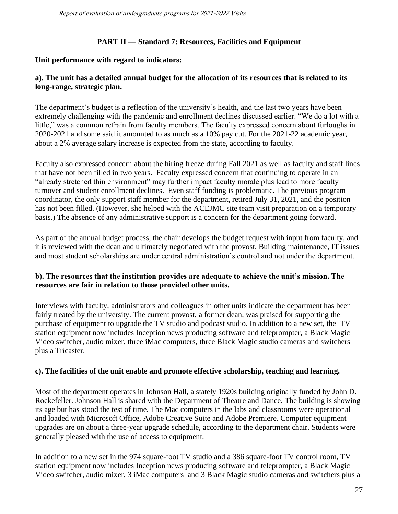## **PART II — Standard 7: Resources, Facilities and Equipment**

#### **Unit performance with regard to indicators:**

## **a). The unit has a detailed annual budget for the allocation of its resources that is related to its long-range, strategic plan.**

The department's budget is a reflection of the university's health, and the last two years have been extremely challenging with the pandemic and enrollment declines discussed earlier. "We do a lot with a little," was a common refrain from faculty members. The faculty expressed concern about furloughs in 2020-2021 and some said it amounted to as much as a 10% pay cut. For the 2021-22 academic year, about a 2% average salary increase is expected from the state, according to faculty.

Faculty also expressed concern about the hiring freeze during Fall 2021 as well as faculty and staff lines that have not been filled in two years. Faculty expressed concern that continuing to operate in an "already stretched thin environment" may further impact faculty morale plus lead to more faculty turnover and student enrollment declines. Even staff funding is problematic. The previous program coordinator, the only support staff member for the department, retired July 31, 2021, and the position has not been filled. (However, she helped with the ACEJMC site team visit preparation on a temporary basis.) The absence of any administrative support is a concern for the department going forward.

As part of the annual budget process, the chair develops the budget request with input from faculty, and it is reviewed with the dean and ultimately negotiated with the provost. Building maintenance, IT issues and most student scholarships are under central administration's control and not under the department.

#### **b). The resources that the institution provides are adequate to achieve the unit's mission. The resources are fair in relation to those provided other units.**

Interviews with faculty, administrators and colleagues in other units indicate the department has been fairly treated by the university. The current provost, a former dean, was praised for supporting the purchase of equipment to upgrade the TV studio and podcast studio. In addition to a new set, the TV station equipment now includes Inception news producing software and teleprompter, a Black Magic Video switcher, audio mixer, three iMac computers, three Black Magic studio cameras and switchers plus a Tricaster.

#### **c). The facilities of the unit enable and promote effective scholarship, teaching and learning.**

Most of the department operates in Johnson Hall, a stately 1920s building originally funded by John D. Rockefeller. Johnson Hall is shared with the Department of Theatre and Dance. The building is showing its age but has stood the test of time. The Mac computers in the labs and classrooms were operational and loaded with Microsoft Office, Adobe Creative Suite and Adobe Premiere. Computer equipment upgrades are on about a three-year upgrade schedule, according to the department chair. Students were generally pleased with the use of access to equipment.

In addition to a new set in the 974 square-foot TV studio and a 386 square-foot TV control room, TV station equipment now includes Inception news producing software and teleprompter, a Black Magic Video switcher, audio mixer, 3 iMac computers and 3 Black Magic studio cameras and switchers plus a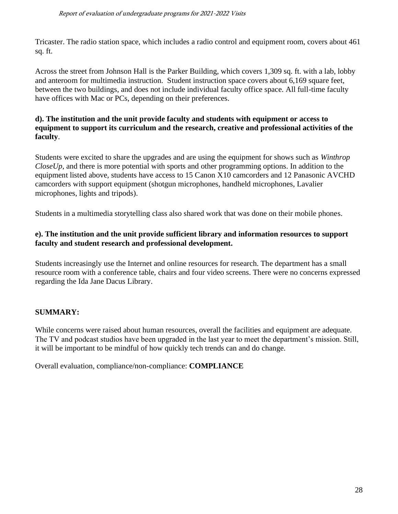Tricaster. The radio station space, which includes a radio control and equipment room, covers about 461 sq. ft.

Across the street from Johnson Hall is the Parker Building, which covers 1,309 sq. ft. with a lab, lobby and anteroom for multimedia instruction. Student instruction space covers about 6,169 square feet, between the two buildings, and does not include individual faculty office space. All full-time faculty have offices with Mac or PCs, depending on their preferences.

## **d). The institution and the unit provide faculty and students with equipment or access to equipment to support its curriculum and the research, creative and professional activities of the faculty**.

Students were excited to share the upgrades and are using the equipment for shows such as *Winthrop CloseUp*, and there is more potential with sports and other programming options. In addition to the equipment listed above, students have access to 15 Canon X10 camcorders and 12 Panasonic AVCHD camcorders with support equipment (shotgun microphones, handheld microphones, Lavalier microphones, lights and tripods).

Students in a multimedia storytelling class also shared work that was done on their mobile phones.

# **e). The institution and the unit provide sufficient library and information resources to support faculty and student research and professional development.**

Students increasingly use the Internet and online resources for research. The department has a small resource room with a conference table, chairs and four video screens. There were no concerns expressed regarding the Ida Jane Dacus Library.

# **SUMMARY:**

While concerns were raised about human resources, overall the facilities and equipment are adequate. The TV and podcast studios have been upgraded in the last year to meet the department's mission. Still, it will be important to be mindful of how quickly tech trends can and do change.

Overall evaluation, compliance/non-compliance: **COMPLIANCE**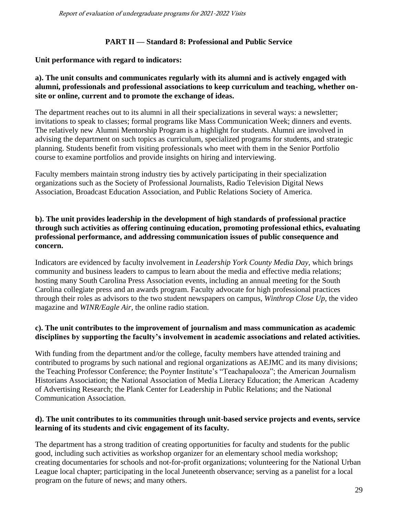## **PART II — Standard 8: Professional and Public Service**

#### **Unit performance with regard to indicators:**

## **a). The unit consults and communicates regularly with its alumni and is actively engaged with alumni, professionals and professional associations to keep curriculum and teaching, whether onsite or online, current and to promote the exchange of ideas.**

The department reaches out to its alumni in all their specializations in several ways: a newsletter; invitations to speak to classes; formal programs like Mass Communication Week; dinners and events. The relatively new Alumni Mentorship Program is a highlight for students. Alumni are involved in advising the department on such topics as curriculum, specialized programs for students, and strategic planning. Students benefit from visiting professionals who meet with them in the Senior Portfolio course to examine portfolios and provide insights on hiring and interviewing.

Faculty members maintain strong industry ties by actively participating in their specialization organizations such as the Society of Professional Journalists, Radio Television Digital News Association, Broadcast Education Association, and Public Relations Society of America.

## **b). The unit provides leadership in the development of high standards of professional practice through such activities as offering continuing education, promoting professional ethics, evaluating professional performance, and addressing communication issues of public consequence and concern.**

Indicators are evidenced by faculty involvement in *Leadership York County Media Day,* which brings community and business leaders to campus to learn about the media and effective media relations; hosting many South Carolina Press Association events, including an annual meeting for the South Carolina collegiate press and an awards program. Faculty advocate for high professional practices through their roles as advisors to the two student newspapers on campus, *Winthrop Close Up,* the video magazine and *WINR/Eagle Air*, the online radio station.

#### **c). The unit contributes to the improvement of journalism and mass communication as academic disciplines by supporting the faculty's involvement in academic associations and related activities.**

With funding from the department and/or the college, faculty members have attended training and contributed to programs by such national and regional organizations as AEJMC and its many divisions; the Teaching Professor Conference; the Poynter Institute's "Teachapalooza"; the American Journalism Historians Association; the National Association of Media Literacy Education; the American Academy of Advertising Research; the Plank Center for Leadership in Public Relations; and the National Communication Association.

## **d). The unit contributes to its communities through unit-based service projects and events, service learning of its students and civic engagement of its faculty.**

The department has a strong tradition of creating opportunities for faculty and students for the public good, including such activities as workshop organizer for an elementary school media workshop; creating documentaries for schools and not-for-profit organizations; volunteering for the National Urban League local chapter; participating in the local Juneteenth observance; serving as a panelist for a local program on the future of news; and many others.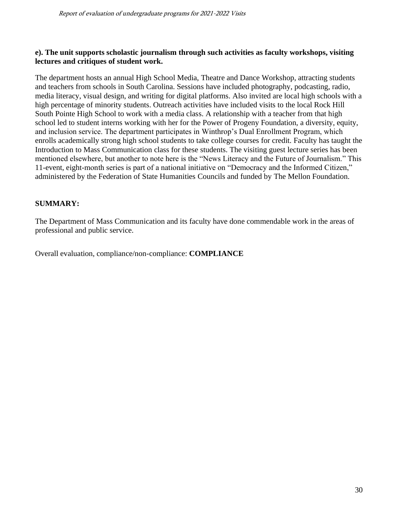#### **e). The unit supports scholastic journalism through such activities as faculty workshops, visiting lectures and critiques of student work.**

The department hosts an annual High School Media, Theatre and Dance Workshop, attracting students and teachers from schools in South Carolina. Sessions have included photography, podcasting, radio, media literacy, visual design, and writing for digital platforms. Also invited are local high schools with a high percentage of minority students. Outreach activities have included visits to the local Rock Hill South Pointe High School to work with a media class. A relationship with a teacher from that high school led to student interns working with her for the Power of Progeny Foundation, a diversity, equity, and inclusion service. The department participates in Winthrop's Dual Enrollment Program, which enrolls academically strong high school students to take college courses for credit. Faculty has taught the Introduction to Mass Communication class for these students. The visiting guest lecture series has been mentioned elsewhere, but another to note here is the "News Literacy and the Future of Journalism." This 11-event, eight-month series is part of a national initiative on "Democracy and the Informed Citizen," administered by the Federation of State Humanities Councils and funded by The Mellon Foundation.

# **SUMMARY:**

The Department of Mass Communication and its faculty have done commendable work in the areas of professional and public service.

Overall evaluation, compliance/non-compliance: **COMPLIANCE**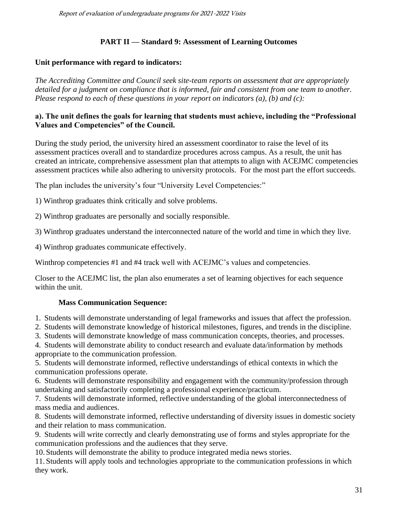# **PART II — Standard 9: Assessment of Learning Outcomes**

## **Unit performance with regard to indicators:**

*The Accrediting Committee and Council seek site-team reports on assessment that are appropriately detailed for a judgment on compliance that is informed, fair and consistent from one team to another. Please respond to each of these questions in your report on indicators (a), (b) and (c):*

## **a). The unit defines the goals for learning that students must achieve, including the "Professional Values and Competencies" of the Council.**

During the study period, the university hired an assessment coordinator to raise the level of its assessment practices overall and to standardize procedures across campus. As a result, the unit has created an intricate, comprehensive assessment plan that attempts to align with ACEJMC competencies assessment practices while also adhering to university protocols. For the most part the effort succeeds.

The plan includes the university's four "University Level Competencies:"

1) Winthrop graduates think critically and solve problems.

2) Winthrop graduates are personally and socially responsible.

3) Winthrop graduates understand the interconnected nature of the world and time in which they live.

4) Winthrop graduates communicate effectively.

Winthrop competencies #1 and #4 track well with ACEJMC's values and competencies.

Closer to the ACEJMC list, the plan also enumerates a set of learning objectives for each sequence within the unit.

## **Mass Communication Sequence:**

1. Students will demonstrate understanding of legal frameworks and issues that affect the profession.

2. Students will demonstrate knowledge of historical milestones, figures, and trends in the discipline.

3. Students will demonstrate knowledge of mass communication concepts, theories, and processes.

4. Students will demonstrate ability to conduct research and evaluate data/information by methods appropriate to the communication profession.

5. Students will demonstrate informed, reflective understandings of ethical contexts in which the communication professions operate.

6. Students will demonstrate responsibility and engagement with the community/profession through undertaking and satisfactorily completing a professional experience/practicum.

7. Students will demonstrate informed, reflective understanding of the global interconnectedness of mass media and audiences.

8. Students will demonstrate informed, reflective understanding of diversity issues in domestic society and their relation to mass communication.

9. Students will write correctly and clearly demonstrating use of forms and styles appropriate for the communication professions and the audiences that they serve.

10. Students will demonstrate the ability to produce integrated media news stories.

11. Students will apply tools and technologies appropriate to the communication professions in which they work.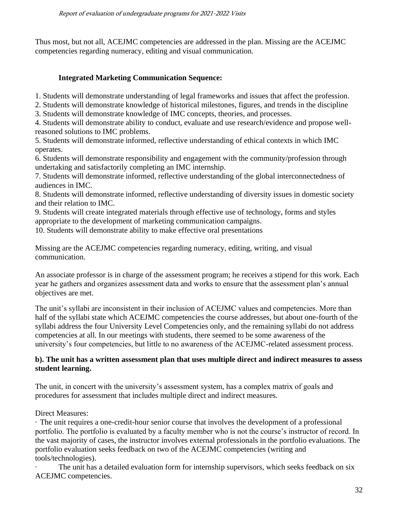Thus most, but not all, ACEJMC competencies are addressed in the plan. Missing are the ACEJMC competencies regarding numeracy, editing and visual communication.

# **Integrated Marketing Communication Sequence:**

1. Students will demonstrate understanding of legal frameworks and issues that affect the profession.

2. Students will demonstrate knowledge of historical milestones, figures, and trends in the discipline

3. Students will demonstrate knowledge of IMC concepts, theories, and processes.

4. Students will demonstrate ability to conduct, evaluate and use research/evidence and propose wellreasoned solutions to IMC problems.

5. Students will demonstrate informed, reflective understanding of ethical contexts in which IMC operates.

6. Students will demonstrate responsibility and engagement with the community/profession through undertaking and satisfactorily completing an IMC internship.

7. Students will demonstrate informed, reflective understanding of the global interconnectedness of audiences in IMC.

8. Students will demonstrate informed, reflective understanding of diversity issues in domestic society and their relation to IMC.

9. Students will create integrated materials through effective use of technology, forms and styles appropriate to the development of marketing communication campaigns.

10. Students will demonstrate ability to make effective oral presentations

Missing are the ACEJMC competencies regarding numeracy, editing, writing, and visual communication.

An associate professor is in charge of the assessment program; he receives a stipend for this work. Each year he gathers and organizes assessment data and works to ensure that the assessment plan's annual objectives are met.

The unit's syllabi are inconsistent in their inclusion of ACEJMC values and competencies. More than half of the syllabi state which ACEJMC competencies the course addresses, but about one-fourth of the syllabi address the four University Level Competencies only, and the remaining syllabi do not address competencies at all. In our meetings with students, there seemed to be some awareness of the university's four competencies, but little to no awareness of the ACEJMC-related assessment process.

## **b). The unit has a written assessment plan that uses multiple direct and indirect measures to assess student learning.**

The unit, in concert with the university's assessment system, has a complex matrix of goals and procedures for assessment that includes multiple direct and indirect measures.

Direct Measures:

· The unit requires a one-credit-hour senior course that involves the development of a professional portfolio. The portfolio is evaluated by a faculty member who is not the course's instructor of record. In the vast majority of cases, the instructor involves external professionals in the portfolio evaluations. The portfolio evaluation seeks feedback on two of the ACEJMC competencies (writing and tools/technologies).

· The unit has a detailed evaluation form for internship supervisors, which seeks feedback on six ACEJMC competencies.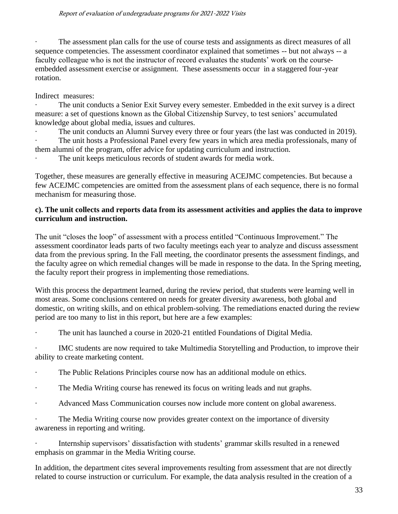· The assessment plan calls for the use of course tests and assignments as direct measures of all sequence competencies. The assessment coordinator explained that sometimes -- but not always -- a faculty colleague who is not the instructor of record evaluates the students' work on the courseembedded assessment exercise or assignment. These assessments occur in a staggered four-year rotation.

Indirect measures:

· The unit conducts a Senior Exit Survey every semester. Embedded in the exit survey is a direct measure: a set of questions known as the Global Citizenship Survey, to test seniors' accumulated knowledge about global media, issues and cultures.

· The unit conducts an Alumni Survey every three or four years (the last was conducted in 2019). · The unit hosts a Professional Panel every few years in which area media professionals, many of them alumni of the program, offer advice for updating curriculum and instruction.

· The unit keeps meticulous records of student awards for media work.

Together, these measures are generally effective in measuring ACEJMC competencies. But because a few ACEJMC competencies are omitted from the assessment plans of each sequence, there is no formal mechanism for measuring those.

# **c). The unit collects and reports data from its assessment activities and applies the data to improve curriculum and instruction.**

The unit "closes the loop" of assessment with a process entitled "Continuous Improvement." The assessment coordinator leads parts of two faculty meetings each year to analyze and discuss assessment data from the previous spring. In the Fall meeting, the coordinator presents the assessment findings, and the faculty agree on which remedial changes will be made in response to the data. In the Spring meeting, the faculty report their progress in implementing those remediations.

With this process the department learned, during the review period, that students were learning well in most areas. Some conclusions centered on needs for greater diversity awareness, both global and domestic, on writing skills, and on ethical problem-solving. The remediations enacted during the review period are too many to list in this report, but here are a few examples:

· The unit has launched a course in 2020-21 entitled Foundations of Digital Media.

· IMC students are now required to take Multimedia Storytelling and Production, to improve their ability to create marketing content.

- · The Public Relations Principles course now has an additional module on ethics.
- · The Media Writing course has renewed its focus on writing leads and nut graphs.
- · Advanced Mass Communication courses now include more content on global awareness.

· The Media Writing course now provides greater context on the importance of diversity awareness in reporting and writing.

· Internship supervisors' dissatisfaction with students' grammar skills resulted in a renewed emphasis on grammar in the Media Writing course.

In addition, the department cites several improvements resulting from assessment that are not directly related to course instruction or curriculum. For example, the data analysis resulted in the creation of a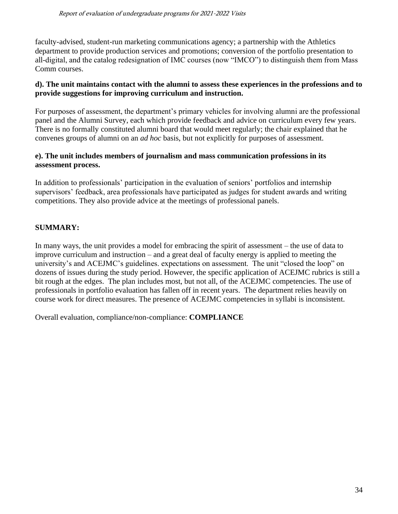faculty-advised, student-run marketing communications agency; a partnership with the Athletics department to provide production services and promotions; conversion of the portfolio presentation to all-digital, and the catalog redesignation of IMC courses (now "IMCO") to distinguish them from Mass Comm courses.

## **d). The unit maintains contact with the alumni to assess these experiences in the professions and to provide suggestions for improving curriculum and instruction.**

For purposes of assessment, the department's primary vehicles for involving alumni are the professional panel and the Alumni Survey, each which provide feedback and advice on curriculum every few years. There is no formally constituted alumni board that would meet regularly; the chair explained that he convenes groups of alumni on an *ad hoc* basis, but not explicitly for purposes of assessment.

## **e). The unit includes members of journalism and mass communication professions in its assessment process.**

In addition to professionals' participation in the evaluation of seniors' portfolios and internship supervisors' feedback, area professionals have participated as judges for student awards and writing competitions. They also provide advice at the meetings of professional panels.

# **SUMMARY:**

In many ways, the unit provides a model for embracing the spirit of assessment – the use of data to improve curriculum and instruction – and a great deal of faculty energy is applied to meeting the university's and ACEJMC's guidelines. expectations on assessment. The unit "closed the loop" on dozens of issues during the study period. However, the specific application of ACEJMC rubrics is still a bit rough at the edges. The plan includes most, but not all, of the ACEJMC competencies. The use of professionals in portfolio evaluation has fallen off in recent years. The department relies heavily on course work for direct measures. The presence of ACEJMC competencies in syllabi is inconsistent.

Overall evaluation, compliance/non-compliance: **COMPLIANCE**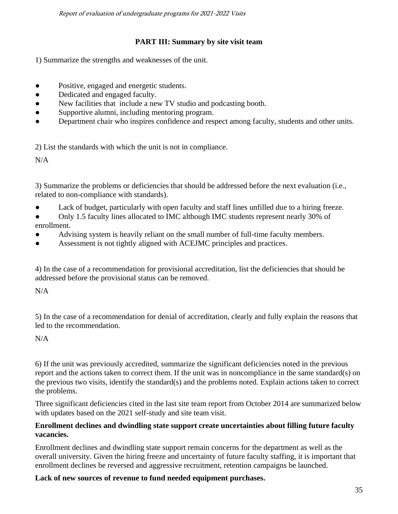Report of evaluation of undergraduate programs for 2021-2022 Visits

# **PART III: Summary by site visit team**

1) Summarize the strengths and weaknesses of the unit.

- Positive, engaged and energetic students.
- Dedicated and engaged faculty.
- New facilities that include a new TV studio and podcasting booth.
- Supportive alumni, including mentoring program.
- Department chair who inspires confidence and respect among faculty, students and other units.

2) List the standards with which the unit is not in compliance.

 $N/A$ 

3) Summarize the problems or deficiencies that should be addressed before the next evaluation (i.e., related to non-compliance with standards).

Lack of budget, particularly with open faculty and staff lines unfilled due to a hiring freeze.

• Only 1.5 faculty lines allocated to IMC although IMC students represent nearly 30% of enrollment.

- Advising system is heavily reliant on the small number of full-time faculty members.
- Assessment is not tightly aligned with ACEJMC principles and practices.

4) In the case of a recommendation for provisional accreditation, list the deficiencies that should be addressed before the provisional status can be removed.

 $N/A$ 

5) In the case of a recommendation for denial of accreditation, clearly and fully explain the reasons that led to the recommendation.

## N/A

6) If the unit was previously accredited, summarize the significant deficiencies noted in the previous report and the actions taken to correct them. If the unit was in noncompliance in the same standard(s) on the previous two visits, identify the standard(s) and the problems noted. Explain actions taken to correct the problems.

Three significant deficiencies cited in the last site team report from October 2014 are summarized below with updates based on the 2021 self-study and site team visit.

## **Enrollment declines and dwindling state support create uncertainties about filling future faculty vacancies.**

Enrollment declines and dwindling state support remain concerns for the department as well as the overall university. Given the hiring freeze and uncertainty of future faculty staffing, it is important that enrollment declines be reversed and aggressive recruitment, retention campaigns be launched.

# **Lack of new sources of revenue to fund needed equipment purchases.**